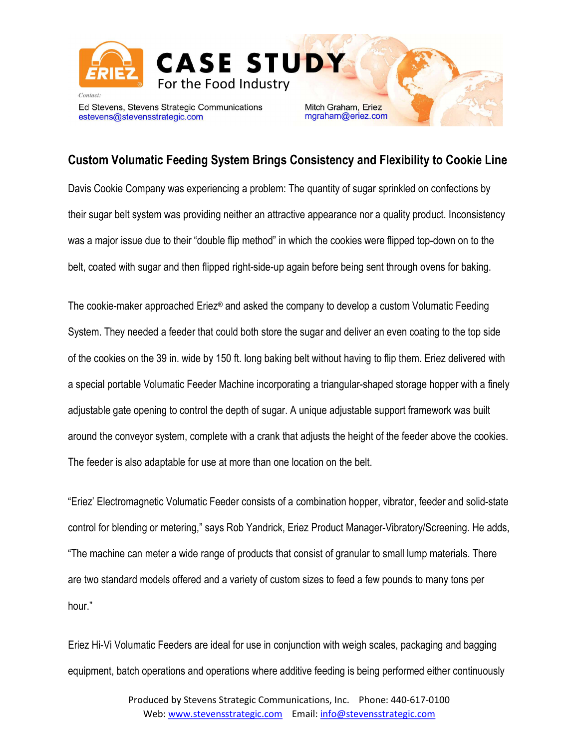

## Custom Volumatic Feeding System Brings Consistency and Flexibility to Cookie Line

Davis Cookie Company was experiencing a problem: The quantity of sugar sprinkled on confections by their sugar belt system was providing neither an attractive appearance nor a quality product. Inconsistency was a major issue due to their "double flip method" in which the cookies were flipped top-down on to the belt, coated with sugar and then flipped right-side-up again before being sent through ovens for baking.

The cookie-maker approached Eriez® and asked the company to develop a custom Volumatic Feeding System. They needed a feeder that could both store the sugar and deliver an even coating to the top side of the cookies on the 39 in. wide by 150 ft. long baking belt without having to flip them. Eriez delivered with a special portable Volumatic Feeder Machine incorporating a triangular-shaped storage hopper with a finely adjustable gate opening to control the depth of sugar. A unique adjustable support framework was built around the conveyor system, complete with a crank that adjusts the height of the feeder above the cookies. The feeder is also adaptable for use at more than one location on the belt.

"Eriez' Electromagnetic Volumatic Feeder consists of a combination hopper, vibrator, feeder and solid-state control for blending or metering," says Rob Yandrick, Eriez Product Manager-Vibratory/Screening. He adds, "The machine can meter a wide range of products that consist of granular to small lump materials. There are two standard models offered and a variety of custom sizes to feed a few pounds to many tons per hour."

Eriez Hi-Vi Volumatic Feeders are ideal for use in conjunction with weigh scales, packaging and bagging equipment, batch operations and operations where additive feeding is being performed either continuously